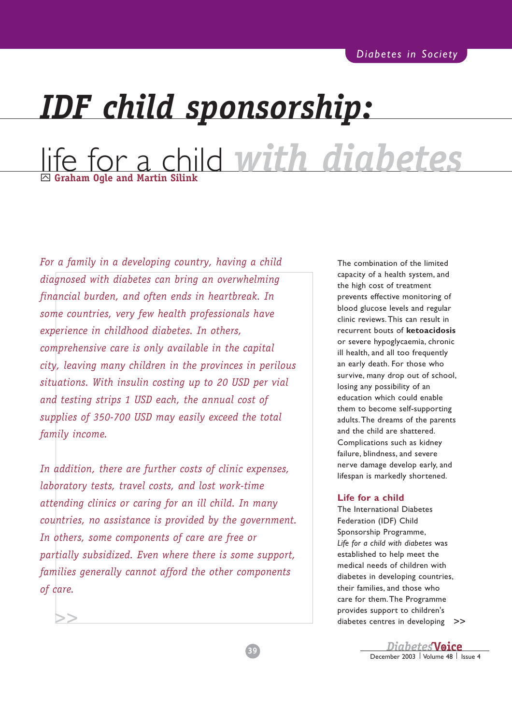# *IDF child sponsorship:*

life for a child *with diabetes* ` **Graham Ogle and Martin Silink**

*For a family in a developing country, having a child diagnosed with diabetes can bring an overwhelming financial burden, and often ends in heartbreak. In some countries, very few health professionals have experience in childhood diabetes. In others, comprehensive care is only available in the capital city, leaving many children in the provinces in perilous situations. With insulin costing up to 20 USD per vial and testing strips 1 USD each, the annual cost of supplies of 350-700 USD may easily exceed the total family income.* 

*In addition, there are further costs of clinic expenses, laboratory tests, travel costs, and lost work-time attending clinics or caring for an ill child. In many countries, no assistance is provided by the government. In others, some components of care are free or partially subsidized. Even where there is some support, families generally cannot afford the other components of care.*

The combination of the limited capacity of a health system, and the high cost of treatment prevents effective monitoring of blood glucose levels and regular clinic reviews.This can result in recurrent bouts of **ketoacidosis** or severe hypoglycaemia, chronic ill health, and all too frequently an early death. For those who survive, many drop out of school, losing any possibility of an education which could enable them to become self-supporting adults.The dreams of the parents and the child are shattered. Complications such as kidney failure, blindness, and severe nerve damage develop early, and lifespan is markedly shortened.

#### **Life for a child**

The International Diabetes Federation (IDF) Child Sponsorship Programme, *Life for a child with diabetes* was established to help meet the medical needs of children with diabetes in developing countries, their families, and those who care for them.The Programme provides support to children's diabetes centres in developing  $\gt$ 

> Diabetes**Voice** December 2003 | Volume 48 | Issue 4

>>

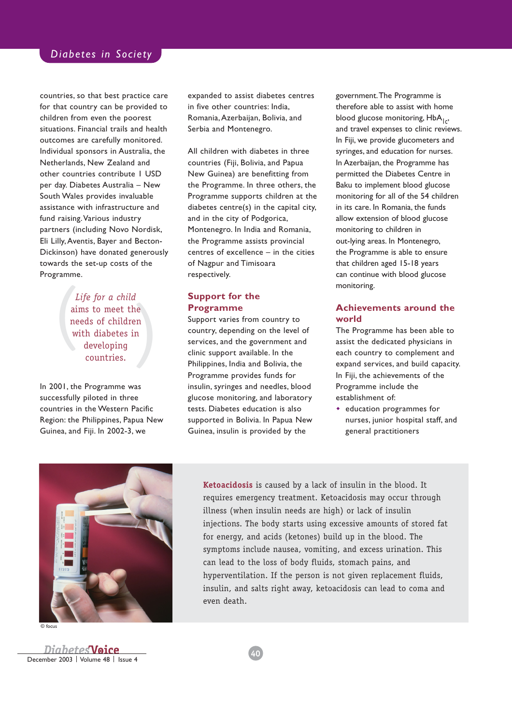## *Diabetes in Society*

countries, so that best practice care for that country can be provided to children from even the poorest situations. Financial trails and health outcomes are carefully monitored. Individual sponsors in Australia, the Netherlands, New Zealand and other countries contribute 1 USD per day. Diabetes Australia – New South Wales provides invaluable assistance with infrastructure and fund raising.Various industry partners (including Novo Nordisk, Eli Lilly, Aventis, Bayer and Becton-Dickinson) have donated generously towards the set-up costs of the Programme.

> Life for a child<br>aims to meet the<br>needs of children<br>with diabetes in<br>developing<br>countries. *Life for a child*  aims to meet the needs of children with diabetes in developing countries.

In 2001, the Programme was successfully piloted in three countries in the Western Pacific Region: the Philippines, Papua New Guinea, and Fiji. In 2002-3, we

expanded to assist diabetes centres in five other countries: India, Romania,Azerbaijan, Bolivia, and Serbia and Montenegro.

All children with diabetes in three countries (Fiji, Bolivia, and Papua New Guinea) are benefitting from the Programme. In three others, the Programme supports children at the diabetes centre(s) in the capital city, and in the city of Podgorica, Montenegro. In India and Romania, the Programme assists provincial centres of excellence – in the cities of Nagpur and Timisoara respectively.

# **Support for the Programme**

Support varies from country to country, depending on the level of services, and the government and clinic support available. In the Philippines, India and Bolivia, the Programme provides funds for insulin, syringes and needles, blood glucose monitoring, and laboratory tests. Diabetes education is also supported in Bolivia. In Papua New Guinea, insulin is provided by the

government.The Programme is therefore able to assist with home blood glucose monitoring,  $HbA_{1c}$ , and travel expenses to clinic reviews. In Fiji, we provide glucometers and syringes, and education for nurses. In Azerbaijan, the Programme has permitted the Diabetes Centre in Baku to implement blood glucose monitoring for all of the 54 children in its care. In Romania, the funds allow extension of blood glucose monitoring to children in out-lying areas. In Montenegro, the Programme is able to ensure that children aged 15-18 years can continue with blood glucose monitoring.

# **Achievements around the world**

The Programme has been able to assist the dedicated physicians in each country to complement and expand services, and build capacity. In Fiji, the achievements of the Programme include the establishment of:

 education programmes for nurses, junior hospital staff, and general practitioners



© focus

Diabetes Voice December 2003 | Volume 48 | Issue 4 **Ketoacidosis** is caused by a lack of insulin in the blood. It requires emergency treatment. Ketoacidosis may occur through illness (when insulin needs are high) or lack of insulin injections. The body starts using excessive amounts of stored fat for energy, and acids (ketones) build up in the blood. The symptoms include nausea, vomiting, and excess urination. This can lead to the loss of body fluids, stomach pains, and hyperventilation. If the person is not given replacement fluids, insulin, and salts right away, ketoacidosis can lead to coma and even death.

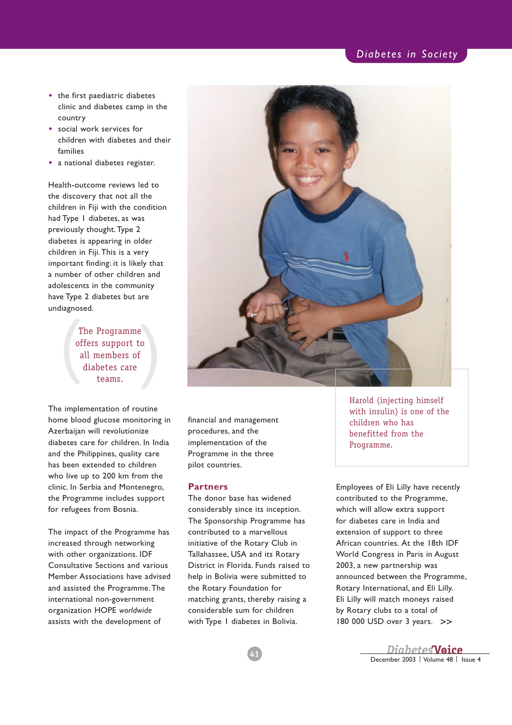# *Diabetes in Society*

- the first paediatric diabetes clinic and diabetes camp in the country
- social work services for children with diabetes and their families
- a national diabetes register.

Health-outcome reviews led to the discovery that not all the children in Fiji with the condition had Type 1 diabetes, as was previously thought.Type 2 diabetes is appearing in older children in Fiji.This is a very important finding: it is likely that a number of other children and adolescents in the community have Type 2 diabetes but are undiagnosed.

The Programme<br>offers support to<br>all members of<br>diabetes care<br>teams. The Programme offers support to all members of diabetes care teams.

The implementation of routine home blood glucose monitoring in Azerbaijan will revolutionize diabetes care for children. In India and the Philippines, quality care has been extended to children who live up to 200 km from the clinic. In Serbia and Montenegro, the Programme includes support for refugees from Bosnia.

The impact of the Programme has increased through networking with other organizations. IDF Consultative Sections and various Member Associations have advised and assisted the Programme.The international non-government organization HOPE *worldwide* assists with the development of



financial and management procedures, and the implementation of the Programme in the three pilot countries.

#### **Partners**

The donor base has widened considerably since its inception. The Sponsorship Programme has contributed to a marvellous initiative of the Rotary Club in Tallahassee, USA and its Rotary District in Florida. Funds raised to help in Bolivia were submitted to the Rotary Foundation for matching grants, thereby raising a considerable sum for children with Type 1 diabetes in Bolivia.

Harold (injecting himself with insulin) is one of the children who has benefitted from the Programme.

Employees of Eli Lilly have recently contributed to the Programme, which will allow extra support for diabetes care in India and extension of support to three African countries. At the 18th IDF World Congress in Paris in August 2003, a new partnership was announced between the Programme, Rotary International, and Eli Lilly. Eli Lilly will match moneys raised by Rotary clubs to a total of 180 000 USD over 3 years. >>

**11** Diabetes **Voice**<br>December 2003 | Volume 48 | Issue 4